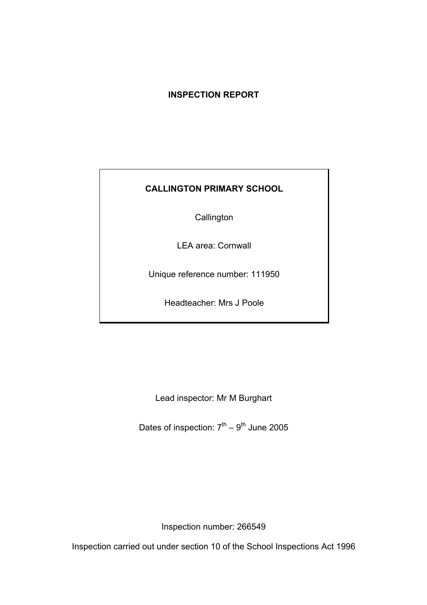# **INSPECTION REPORT**

# **CALLINGTON PRIMARY SCHOOL**

**Callington** 

LEA area: Cornwall

Unique reference number: 111950

Headteacher: Mrs J Poole

Lead inspector: Mr M Burghart

Dates of inspection:  $7<sup>th</sup> - 9<sup>th</sup>$  June 2005

Inspection number: 266549

Inspection carried out under section 10 of the School Inspections Act 1996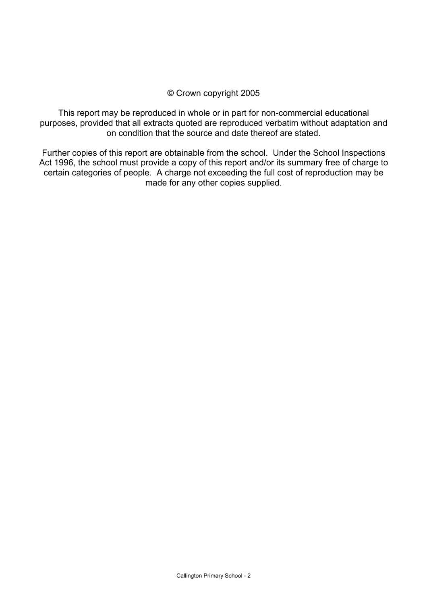#### © Crown copyright 2005

This report may be reproduced in whole or in part for non-commercial educational purposes, provided that all extracts quoted are reproduced verbatim without adaptation and on condition that the source and date thereof are stated.

Further copies of this report are obtainable from the school. Under the School Inspections Act 1996, the school must provide a copy of this report and/or its summary free of charge to certain categories of people. A charge not exceeding the full cost of reproduction may be made for any other copies supplied.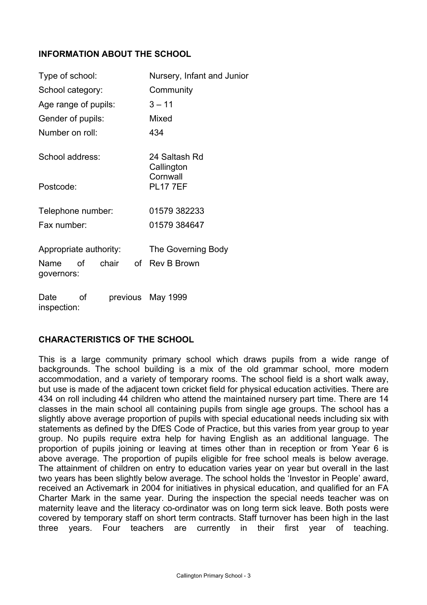## **INFORMATION ABOUT THE SCHOOL**

| Type of school:                                             | Nursery, Infant and Junior           |  |  |
|-------------------------------------------------------------|--------------------------------------|--|--|
| School category:                                            | Community                            |  |  |
| Age range of pupils:                                        | $3 - 11$                             |  |  |
| Gender of pupils:                                           | Mixed                                |  |  |
| Number on roll:                                             | 434                                  |  |  |
| School address:                                             | 24 Saltash Rd<br>Callington          |  |  |
| Postcode:                                                   | Cornwall<br><b>PL17 7EF</b>          |  |  |
| Telephone number:                                           | 01579 382233                         |  |  |
| Fax number:                                                 | 01579 384647                         |  |  |
| Appropriate authority:<br>chair<br>οf<br>Name<br>governors: | The Governing Body<br>of Rev B Brown |  |  |
| Date<br>Ωf<br>inspection:                                   | previous May 1999                    |  |  |

#### **CHARACTERISTICS OF THE SCHOOL**

This is a large community primary school which draws pupils from a wide range of backgrounds. The school building is a mix of the old grammar school, more modern accommodation, and a variety of temporary rooms. The school field is a short walk away, but use is made of the adjacent town cricket field for physical education activities. There are 434 on roll including 44 children who attend the maintained nursery part time. There are 14 classes in the main school all containing pupils from single age groups. The school has a slightly above average proportion of pupils with special educational needs including six with statements as defined by the DfES Code of Practice, but this varies from year group to year group. No pupils require extra help for having English as an additional language. The proportion of pupils joining or leaving at times other than in reception or from Year 6 is above average. The proportion of pupils eligible for free school meals is below average. The attainment of children on entry to education varies year on year but overall in the last two years has been slightly below average. The school holds the 'Investor in People' award, received an Activemark in 2004 for initiatives in physical education, and qualified for an FA Charter Mark in the same year. During the inspection the special needs teacher was on maternity leave and the literacy co-ordinator was on long term sick leave. Both posts were covered by temporary staff on short term contracts. Staff turnover has been high in the last three years. Four teachers are currently in their first year of teaching.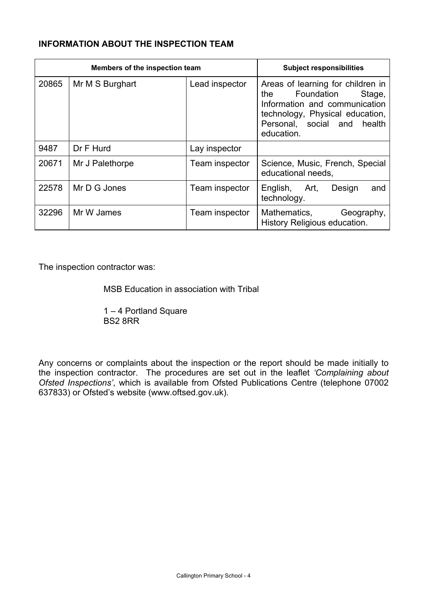# **INFORMATION ABOUT THE INSPECTION TEAM**

| Members of the inspection team |                 |                | <b>Subject responsibilities</b>                                                                                                                                                   |
|--------------------------------|-----------------|----------------|-----------------------------------------------------------------------------------------------------------------------------------------------------------------------------------|
| 20865                          | Mr M S Burghart | Lead inspector | Areas of learning for children in<br>Stage,<br>the<br>Foundation<br>Information and communication<br>technology, Physical education,<br>Personal, social and health<br>education. |
| 9487                           | Dr F Hurd       | Lay inspector  |                                                                                                                                                                                   |
| 20671                          | Mr J Palethorpe | Team inspector | Science, Music, French, Special<br>educational needs,                                                                                                                             |
| 22578                          | Mr D G Jones    | Team inspector | English, Art,<br>Design<br>and<br>technology.                                                                                                                                     |
| 32296                          | Mr W James      | Team inspector | Mathematics,<br>Geography,<br>History Religious education.                                                                                                                        |

The inspection contractor was:

MSB Education in association with Tribal

 1 – 4 Portland Square BS2 8RR

Any concerns or complaints about the inspection or the report should be made initially to the inspection contractor. The procedures are set out in the leaflet *'Complaining about Ofsted Inspections'*, which is available from Ofsted Publications Centre (telephone 07002 637833) or Ofsted's website (www.oftsed.gov.uk).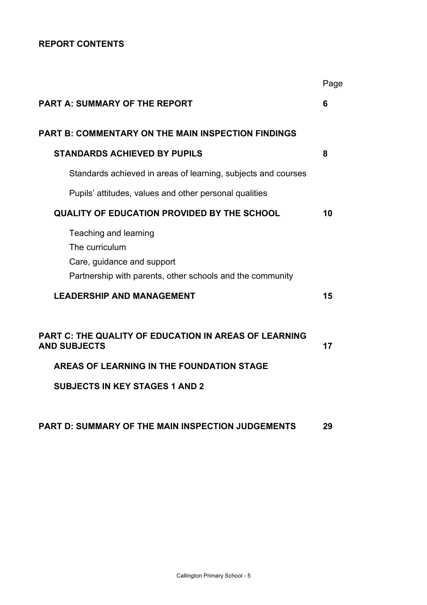# **REPORT CONTENTS**

|                                                                                                                                    | Page |
|------------------------------------------------------------------------------------------------------------------------------------|------|
| <b>PART A: SUMMARY OF THE REPORT</b>                                                                                               | 6    |
| <b>PART B: COMMENTARY ON THE MAIN INSPECTION FINDINGS</b>                                                                          |      |
| <b>STANDARDS ACHIEVED BY PUPILS</b>                                                                                                | 8    |
| Standards achieved in areas of learning, subjects and courses                                                                      |      |
| Pupils' attitudes, values and other personal qualities                                                                             |      |
| <b>QUALITY OF EDUCATION PROVIDED BY THE SCHOOL</b>                                                                                 | 10   |
| Teaching and learning<br>The curriculum<br>Care, guidance and support<br>Partnership with parents, other schools and the community |      |
| <b>LEADERSHIP AND MANAGEMENT</b>                                                                                                   | 15   |
| <b>PART C: THE QUALITY OF EDUCATION IN AREAS OF LEARNING</b><br><b>AND SUBJECTS</b><br>AREAS OF LEARNING IN THE FOUNDATION STAGE   | 17   |
| <b>SUBJECTS IN KEY STAGES 1 AND 2</b>                                                                                              |      |
| <b>PART D: SUMMARY OF THE MAIN INSPECTION JUDGEMENTS</b>                                                                           | 29   |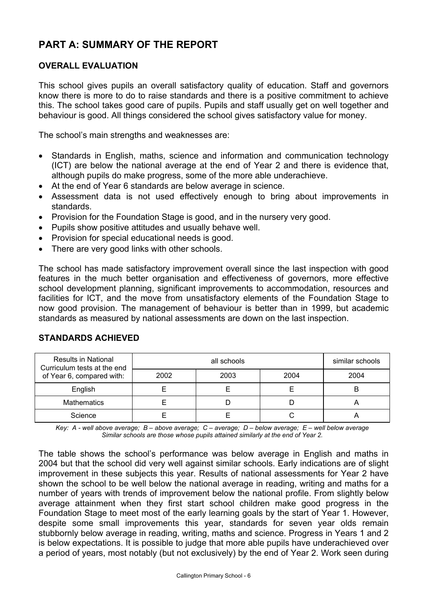# **PART A: SUMMARY OF THE REPORT**

#### **OVERALL EVALUATION**

This school gives pupils an overall satisfactory quality of education. Staff and governors know there is more to do to raise standards and there is a positive commitment to achieve this. The school takes good care of pupils. Pupils and staff usually get on well together and behaviour is good. All things considered the school gives satisfactory value for money.

The school's main strengths and weaknesses are:

- Standards in English, maths, science and information and communication technology (ICT) are below the national average at the end of Year 2 and there is evidence that, although pupils do make progress, some of the more able underachieve.
- At the end of Year 6 standards are below average in science.
- Assessment data is not used effectively enough to bring about improvements in standards.
- Provision for the Foundation Stage is good, and in the nursery very good.
- Pupils show positive attitudes and usually behave well.
- Provision for special educational needs is good.
- There are very good links with other schools.

The school has made satisfactory improvement overall since the last inspection with good features in the much better organisation and effectiveness of governors, more effective school development planning, significant improvements to accommodation, resources and facilities for ICT, and the move from unsatisfactory elements of the Foundation Stage to now good provision. The management of behaviour is better than in 1999, but academic standards as measured by national assessments are down on the last inspection.

| <b>Results in National</b><br>Curriculum tests at the end |      | similar schools |   |
|-----------------------------------------------------------|------|-----------------|---|
| of Year 6, compared with:                                 | 2002 | 2004            |   |
| English                                                   |      |                 | В |
| <b>Mathematics</b>                                        |      |                 |   |
| Science                                                   |      |                 |   |

# **STANDARDS ACHIEVED**

*Key: A - well above average; B – above average; C – average; D – below average; E – well below average Similar schools are those whose pupils attained similarly at the end of Year 2.* 

The table shows the school's performance was below average in English and maths in 2004 but that the school did very well against similar schools. Early indications are of slight improvement in these subjects this year. Results of national assessments for Year 2 have shown the school to be well below the national average in reading, writing and maths for a number of years with trends of improvement below the national profile. From slightly below average attainment when they first start school children make good progress in the Foundation Stage to meet most of the early learning goals by the start of Year 1. However, despite some small improvements this year, standards for seven year olds remain stubbornly below average in reading, writing, maths and science. Progress in Years 1 and 2 is below expectations. It is possible to judge that more able pupils have underachieved over a period of years, most notably (but not exclusively) by the end of Year 2. Work seen during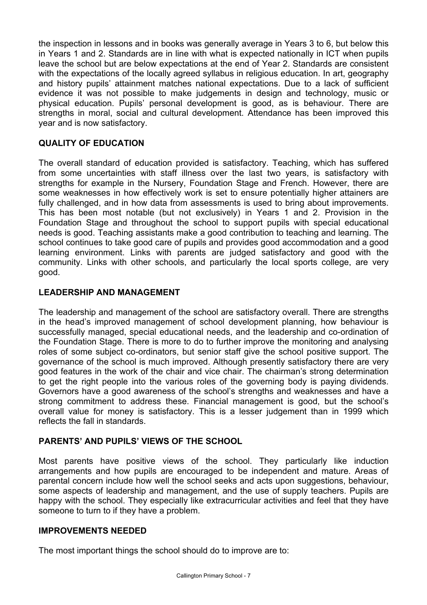the inspection in lessons and in books was generally average in Years 3 to 6, but below this in Years 1 and 2. Standards are in line with what is expected nationally in ICT when pupils leave the school but are below expectations at the end of Year 2. Standards are consistent with the expectations of the locally agreed syllabus in religious education. In art, geography and history pupils' attainment matches national expectations. Due to a lack of sufficient evidence it was not possible to make judgements in design and technology, music or physical education. Pupils' personal development is good, as is behaviour. There are strengths in moral, social and cultural development. Attendance has been improved this year and is now satisfactory.

# **QUALITY OF EDUCATION**

The overall standard of education provided is satisfactory. Teaching, which has suffered from some uncertainties with staff illness over the last two years, is satisfactory with strengths for example in the Nursery, Foundation Stage and French. However, there are some weaknesses in how effectively work is set to ensure potentially higher attainers are fully challenged, and in how data from assessments is used to bring about improvements. This has been most notable (but not exclusively) in Years 1 and 2. Provision in the Foundation Stage and throughout the school to support pupils with special educational needs is good. Teaching assistants make a good contribution to teaching and learning. The school continues to take good care of pupils and provides good accommodation and a good learning environment. Links with parents are judged satisfactory and good with the community. Links with other schools, and particularly the local sports college, are very good.

# **LEADERSHIP AND MANAGEMENT**

The leadership and management of the school are satisfactory overall. There are strengths in the head's improved management of school development planning, how behaviour is successfully managed, special educational needs, and the leadership and co-ordination of the Foundation Stage. There is more to do to further improve the monitoring and analysing roles of some subject co-ordinators, but senior staff give the school positive support. The governance of the school is much improved. Although presently satisfactory there are very good features in the work of the chair and vice chair. The chairman's strong determination to get the right people into the various roles of the governing body is paying dividends. Governors have a good awareness of the school's strengths and weaknesses and have a strong commitment to address these. Financial management is good, but the school's overall value for money is satisfactory. This is a lesser judgement than in 1999 which reflects the fall in standards.

#### **PARENTS' AND PUPILS' VIEWS OF THE SCHOOL**

Most parents have positive views of the school. They particularly like induction arrangements and how pupils are encouraged to be independent and mature. Areas of parental concern include how well the school seeks and acts upon suggestions, behaviour, some aspects of leadership and management, and the use of supply teachers. Pupils are happy with the school. They especially like extracurricular activities and feel that they have someone to turn to if they have a problem.

#### **IMPROVEMENTS NEEDED**

The most important things the school should do to improve are to: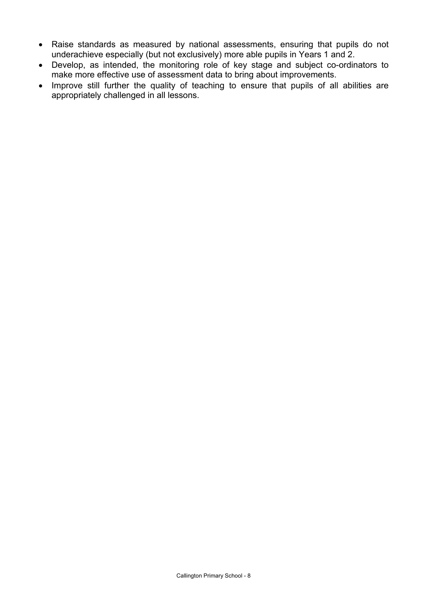- Raise standards as measured by national assessments, ensuring that pupils do not underachieve especially (but not exclusively) more able pupils in Years 1 and 2.
- Develop, as intended, the monitoring role of key stage and subject co-ordinators to make more effective use of assessment data to bring about improvements.
- Improve still further the quality of teaching to ensure that pupils of all abilities are appropriately challenged in all lessons.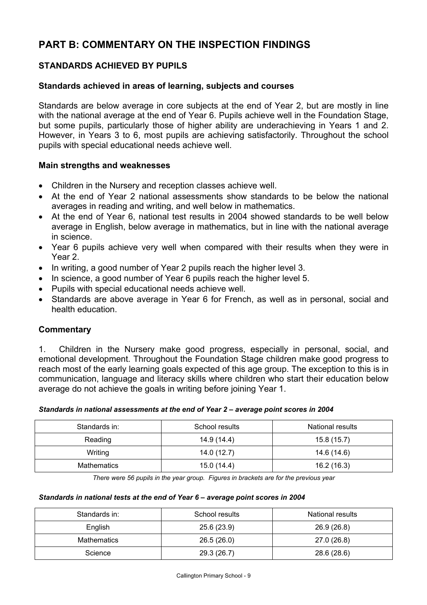# **PART B: COMMENTARY ON THE INSPECTION FINDINGS**

# **STANDARDS ACHIEVED BY PUPILS**

#### **Standards achieved in areas of learning, subjects and courses**

Standards are below average in core subjects at the end of Year 2, but are mostly in line with the national average at the end of Year 6. Pupils achieve well in the Foundation Stage, but some pupils, particularly those of higher ability are underachieving in Years 1 and 2. However, in Years 3 to 6, most pupils are achieving satisfactorily. Throughout the school pupils with special educational needs achieve well.

#### **Main strengths and weaknesses**

- Children in the Nursery and reception classes achieve well.
- At the end of Year 2 national assessments show standards to be below the national averages in reading and writing, and well below in mathematics.
- At the end of Year 6, national test results in 2004 showed standards to be well below average in English, below average in mathematics, but in line with the national average in science.
- Year 6 pupils achieve very well when compared with their results when they were in Year 2.
- In writing, a good number of Year 2 pupils reach the higher level 3.
- In science, a good number of Year 6 pupils reach the higher level 5.
- Pupils with special educational needs achieve well.
- Standards are above average in Year 6 for French, as well as in personal, social and health education.

#### **Commentary**

1. Children in the Nursery make good progress, especially in personal, social, and emotional development. Throughout the Foundation Stage children make good progress to reach most of the early learning goals expected of this age group. The exception to this is in communication, language and literacy skills where children who start their education below average do not achieve the goals in writing before joining Year 1.

#### *Standards in national assessments at the end of Year 2 – average point scores in 2004*

| Standards in: | School results | <b>National results</b> |
|---------------|----------------|-------------------------|
| Reading       | 14.9 (14.4)    | 15.8(15.7)              |
| Writing       | 14.0 (12.7)    | 14.6 (14.6)             |
| Mathematics   | 15.0 (14.4)    | 16.2 (16.3)             |

*There were 56 pupils in the year group. Figures in brackets are for the previous year* 

#### *Standards in national tests at the end of Year 6 – average point scores in 2004*

| Standards in: | School results | National results |
|---------------|----------------|------------------|
| English       | 25.6 (23.9)    | 26.9 (26.8)      |
| Mathematics   | 26.5(26.0)     | 27.0 (26.8)      |
| Science       | 29.3 (26.7)    | 28.6 (28.6)      |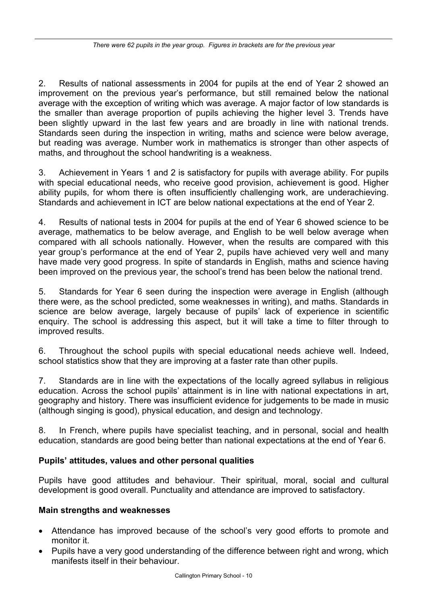2. Results of national assessments in 2004 for pupils at the end of Year 2 showed an improvement on the previous year's performance, but still remained below the national average with the exception of writing which was average. A major factor of low standards is the smaller than average proportion of pupils achieving the higher level 3. Trends have been slightly upward in the last few years and are broadly in line with national trends. Standards seen during the inspection in writing, maths and science were below average, but reading was average. Number work in mathematics is stronger than other aspects of maths, and throughout the school handwriting is a weakness.

3. Achievement in Years 1 and 2 is satisfactory for pupils with average ability. For pupils with special educational needs, who receive good provision, achievement is good. Higher ability pupils, for whom there is often insufficiently challenging work, are underachieving. Standards and achievement in ICT are below national expectations at the end of Year 2.

4. Results of national tests in 2004 for pupils at the end of Year 6 showed science to be average, mathematics to be below average, and English to be well below average when compared with all schools nationally. However, when the results are compared with this year group's performance at the end of Year 2, pupils have achieved very well and many have made very good progress. In spite of standards in English, maths and science having been improved on the previous year, the school's trend has been below the national trend.

5. Standards for Year 6 seen during the inspection were average in English (although there were, as the school predicted, some weaknesses in writing), and maths. Standards in science are below average, largely because of pupils' lack of experience in scientific enquiry. The school is addressing this aspect, but it will take a time to filter through to improved results.

6. Throughout the school pupils with special educational needs achieve well. Indeed, school statistics show that they are improving at a faster rate than other pupils.

7. Standards are in line with the expectations of the locally agreed syllabus in religious education. Across the school pupils' attainment is in line with national expectations in art, geography and history. There was insufficient evidence for judgements to be made in music (although singing is good), physical education, and design and technology.

8. In French, where pupils have specialist teaching, and in personal, social and health education, standards are good being better than national expectations at the end of Year 6.

# **Pupils' attitudes, values and other personal qualities**

Pupils have good attitudes and behaviour. Their spiritual, moral, social and cultural development is good overall. Punctuality and attendance are improved to satisfactory.

#### **Main strengths and weaknesses**

- Attendance has improved because of the school's very good efforts to promote and monitor it.
- Pupils have a very good understanding of the difference between right and wrong, which manifests itself in their behaviour.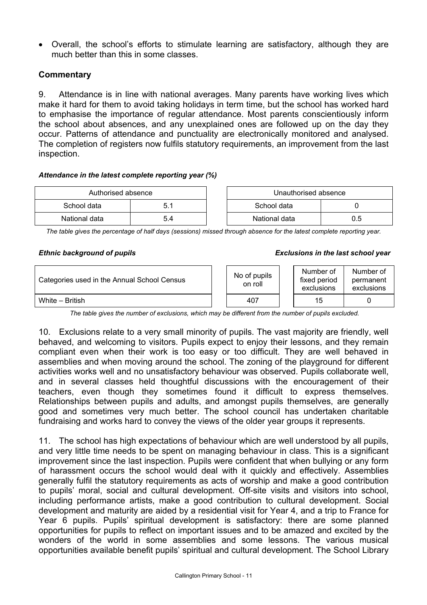• Overall, the school's efforts to stimulate learning are satisfactory, although they are much better than this in some classes.

#### **Commentary**

9. Attendance is in line with national averages. Many parents have working lives which make it hard for them to avoid taking holidays in term time, but the school has worked hard to emphasise the importance of regular attendance. Most parents conscientiously inform the school about absences, and any unexplained ones are followed up on the day they occur. Patterns of attendance and punctuality are electronically monitored and analysed. The completion of registers now fulfils statutory requirements, an improvement from the last inspection.

#### *Attendance in the latest complete reporting year (%)*

| Authorised absence |     | Unauthorised absence |               |     |  |
|--------------------|-----|----------------------|---------------|-----|--|
| School data        | 5.1 |                      | School data   |     |  |
| National data      | 5.4 |                      | National data | 0.5 |  |

| Unauthorised absence |     |  |  |  |
|----------------------|-----|--|--|--|
| School data          |     |  |  |  |
| National data        | 0 5 |  |  |  |

*The table gives the percentage of half days (sessions) missed through absence for the latest complete reporting year.*

#### *Ethnic background of pupils Exclusions in the last school year*

| Categories used in the Annual School Census |  | No of pupils<br>on roll |  | Number of<br>fixed period<br>exclusions | Number of<br>permanent<br>exclusions |  |
|---------------------------------------------|--|-------------------------|--|-----------------------------------------|--------------------------------------|--|
| White – British                             |  | 407                     |  | 15                                      |                                      |  |

*The table gives the number of exclusions, which may be different from the number of pupils excluded.*

10. Exclusions relate to a very small minority of pupils. The vast majority are friendly, well behaved, and welcoming to visitors. Pupils expect to enjoy their lessons, and they remain compliant even when their work is too easy or too difficult. They are well behaved in assemblies and when moving around the school. The zoning of the playground for different activities works well and no unsatisfactory behaviour was observed. Pupils collaborate well, and in several classes held thoughtful discussions with the encouragement of their teachers, even though they sometimes found it difficult to express themselves. Relationships between pupils and adults, and amongst pupils themselves, are generally good and sometimes very much better. The school council has undertaken charitable fundraising and works hard to convey the views of the older year groups it represents.

11. The school has high expectations of behaviour which are well understood by all pupils, and very little time needs to be spent on managing behaviour in class. This is a significant improvement since the last inspection. Pupils were confident that when bullying or any form of harassment occurs the school would deal with it quickly and effectively. Assemblies generally fulfil the statutory requirements as acts of worship and make a good contribution to pupils' moral, social and cultural development. Off-site visits and visitors into school, including performance artists, make a good contribution to cultural development. Social development and maturity are aided by a residential visit for Year 4, and a trip to France for Year 6 pupils. Pupils' spiritual development is satisfactory: there are some planned opportunities for pupils to reflect on important issues and to be amazed and excited by the wonders of the world in some assemblies and some lessons. The various musical opportunities available benefit pupils' spiritual and cultural development. The School Library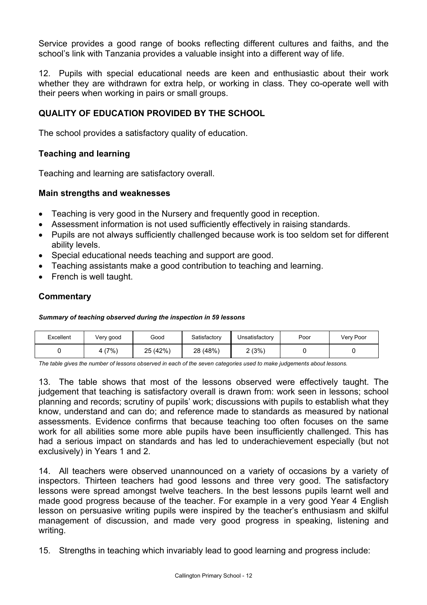Service provides a good range of books reflecting different cultures and faiths, and the school's link with Tanzania provides a valuable insight into a different way of life.

12. Pupils with special educational needs are keen and enthusiastic about their work whether they are withdrawn for extra help, or working in class. They co-operate well with their peers when working in pairs or small groups.

# **QUALITY OF EDUCATION PROVIDED BY THE SCHOOL**

The school provides a satisfactory quality of education.

#### **Teaching and learning**

Teaching and learning are satisfactory overall.

#### **Main strengths and weaknesses**

- Teaching is very good in the Nursery and frequently good in reception.
- Assessment information is not used sufficiently effectively in raising standards.
- Pupils are not always sufficiently challenged because work is too seldom set for different ability levels.
- Special educational needs teaching and support are good.
- Teaching assistants make a good contribution to teaching and learning.
- French is well taught.

# **Commentary**

#### *Summary of teaching observed during the inspection in 59 lessons*

| Excellent | Very good | Good     | Satisfactory | Unsatisfactory | Poor | Very Poor |
|-----------|-----------|----------|--------------|----------------|------|-----------|
|           | 4 (7%)    | 25 (42%) | 28 (48%)     | 2 (3%)         |      |           |

*The table gives the number of lessons observed in each of the seven categories used to make judgements about lessons.* 

13. The table shows that most of the lessons observed were effectively taught. The judgement that teaching is satisfactory overall is drawn from: work seen in lessons; school planning and records; scrutiny of pupils' work; discussions with pupils to establish what they know, understand and can do; and reference made to standards as measured by national assessments. Evidence confirms that because teaching too often focuses on the same work for all abilities some more able pupils have been insufficiently challenged. This has had a serious impact on standards and has led to underachievement especially (but not exclusively) in Years 1 and 2.

14. All teachers were observed unannounced on a variety of occasions by a variety of inspectors. Thirteen teachers had good lessons and three very good. The satisfactory lessons were spread amongst twelve teachers. In the best lessons pupils learnt well and made good progress because of the teacher. For example in a very good Year 4 English lesson on persuasive writing pupils were inspired by the teacher's enthusiasm and skilful management of discussion, and made very good progress in speaking, listening and writing.

15. Strengths in teaching which invariably lead to good learning and progress include: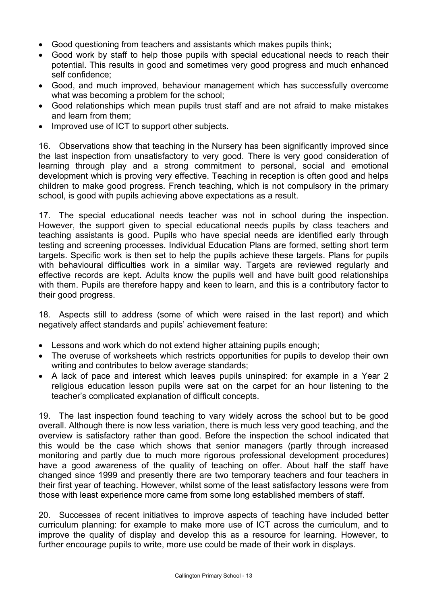- Good questioning from teachers and assistants which makes pupils think;
- Good work by staff to help those pupils with special educational needs to reach their potential. This results in good and sometimes very good progress and much enhanced self confidence;
- Good, and much improved, behaviour management which has successfully overcome what was becoming a problem for the school;
- Good relationships which mean pupils trust staff and are not afraid to make mistakes and learn from them;
- Improved use of ICT to support other subjects.

16. Observations show that teaching in the Nursery has been significantly improved since the last inspection from unsatisfactory to very good. There is very good consideration of learning through play and a strong commitment to personal, social and emotional development which is proving very effective. Teaching in reception is often good and helps children to make good progress. French teaching, which is not compulsory in the primary school, is good with pupils achieving above expectations as a result.

17. The special educational needs teacher was not in school during the inspection. However, the support given to special educational needs pupils by class teachers and teaching assistants is good. Pupils who have special needs are identified early through testing and screening processes. Individual Education Plans are formed, setting short term targets. Specific work is then set to help the pupils achieve these targets. Plans for pupils with behavioural difficulties work in a similar way. Targets are reviewed regularly and effective records are kept. Adults know the pupils well and have built good relationships with them. Pupils are therefore happy and keen to learn, and this is a contributory factor to their good progress.

18. Aspects still to address (some of which were raised in the last report) and which negatively affect standards and pupils' achievement feature:

- Lessons and work which do not extend higher attaining pupils enough;
- The overuse of worksheets which restricts opportunities for pupils to develop their own writing and contributes to below average standards;
- A lack of pace and interest which leaves pupils uninspired: for example in a Year 2 religious education lesson pupils were sat on the carpet for an hour listening to the teacher's complicated explanation of difficult concepts.

19. The last inspection found teaching to vary widely across the school but to be good overall. Although there is now less variation, there is much less very good teaching, and the overview is satisfactory rather than good. Before the inspection the school indicated that this would be the case which shows that senior managers (partly through increased monitoring and partly due to much more rigorous professional development procedures) have a good awareness of the quality of teaching on offer. About half the staff have changed since 1999 and presently there are two temporary teachers and four teachers in their first year of teaching. However, whilst some of the least satisfactory lessons were from those with least experience more came from some long established members of staff.

20. Successes of recent initiatives to improve aspects of teaching have included better curriculum planning: for example to make more use of ICT across the curriculum, and to improve the quality of display and develop this as a resource for learning. However, to further encourage pupils to write, more use could be made of their work in displays.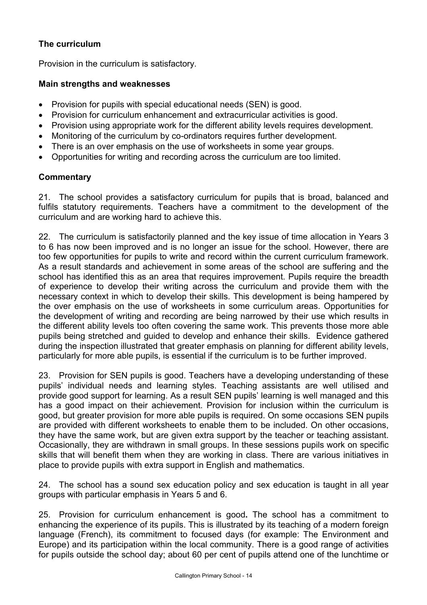# **The curriculum**

Provision in the curriculum is satisfactory.

#### **Main strengths and weaknesses**

- Provision for pupils with special educational needs (SEN) is good.
- Provision for curriculum enhancement and extracurricular activities is good.
- Provision using appropriate work for the different ability levels requires development.
- Monitoring of the curriculum by co-ordinators requires further development.
- There is an over emphasis on the use of worksheets in some year groups.
- Opportunities for writing and recording across the curriculum are too limited.

#### **Commentary**

21. The school provides a satisfactory curriculum for pupils that is broad, balanced and fulfils statutory requirements. Teachers have a commitment to the development of the curriculum and are working hard to achieve this.

22. The curriculum is satisfactorily planned and the key issue of time allocation in Years 3 to 6 has now been improved and is no longer an issue for the school. However, there are too few opportunities for pupils to write and record within the current curriculum framework. As a result standards and achievement in some areas of the school are suffering and the school has identified this as an area that requires improvement. Pupils require the breadth of experience to develop their writing across the curriculum and provide them with the necessary context in which to develop their skills. This development is being hampered by the over emphasis on the use of worksheets in some curriculum areas. Opportunities for the development of writing and recording are being narrowed by their use which results in the different ability levels too often covering the same work. This prevents those more able pupils being stretched and guided to develop and enhance their skills. Evidence gathered during the inspection illustrated that greater emphasis on planning for different ability levels, particularly for more able pupils, is essential if the curriculum is to be further improved.

23. Provision for SEN pupils is good. Teachers have a developing understanding of these pupils' individual needs and learning styles. Teaching assistants are well utilised and provide good support for learning. As a result SEN pupils' learning is well managed and this has a good impact on their achievement. Provision for inclusion within the curriculum is good, but greater provision for more able pupils is required. On some occasions SEN pupils are provided with different worksheets to enable them to be included. On other occasions, they have the same work, but are given extra support by the teacher or teaching assistant. Occasionally, they are withdrawn in small groups. In these sessions pupils work on specific skills that will benefit them when they are working in class. There are various initiatives in place to provide pupils with extra support in English and mathematics.

24. The school has a sound sex education policy and sex education is taught in all year groups with particular emphasis in Years 5 and 6.

25. Provision for curriculum enhancement is good**.** The school has a commitment to enhancing the experience of its pupils. This is illustrated by its teaching of a modern foreign language (French), its commitment to focused days (for example: The Environment and Europe) and its participation within the local community. There is a good range of activities for pupils outside the school day; about 60 per cent of pupils attend one of the lunchtime or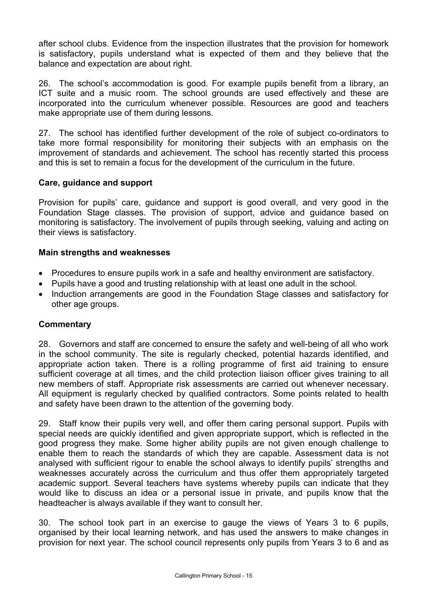after school clubs. Evidence from the inspection illustrates that the provision for homework is satisfactory, pupils understand what is expected of them and they believe that the balance and expectation are about right.

26. The school's accommodation is good. For example pupils benefit from a library, an ICT suite and a music room. The school grounds are used effectively and these are incorporated into the curriculum whenever possible. Resources are good and teachers make appropriate use of them during lessons.

27. The school has identified further development of the role of subject co-ordinators to take more formal responsibility for monitoring their subjects with an emphasis on the improvement of standards and achievement. The school has recently started this process and this is set to remain a focus for the development of the curriculum in the future.

#### **Care, guidance and support**

Provision for pupils' care, guidance and support is good overall, and very good in the Foundation Stage classes. The provision of support, advice and guidance based on monitoring is satisfactory. The involvement of pupils through seeking, valuing and acting on their views is satisfactory.

#### **Main strengths and weaknesses**

- Procedures to ensure pupils work in a safe and healthy environment are satisfactory.
- Pupils have a good and trusting relationship with at least one adult in the school.
- Induction arrangements are good in the Foundation Stage classes and satisfactory for other age groups.

# **Commentary**

28. Governors and staff are concerned to ensure the safety and well-being of all who work in the school community. The site is regularly checked, potential hazards identified, and appropriate action taken. There is a rolling programme of first aid training to ensure sufficient coverage at all times, and the child protection liaison officer gives training to all new members of staff. Appropriate risk assessments are carried out whenever necessary. All equipment is regularly checked by qualified contractors. Some points related to health and safety have been drawn to the attention of the governing body.

29. Staff know their pupils very well, and offer them caring personal support. Pupils with special needs are quickly identified and given appropriate support, which is reflected in the good progress they make. Some higher ability pupils are not given enough challenge to enable them to reach the standards of which they are capable. Assessment data is not analysed with sufficient rigour to enable the school always to identify pupils' strengths and weaknesses accurately across the curriculum and thus offer them appropriately targeted academic support. Several teachers have systems whereby pupils can indicate that they would like to discuss an idea or a personal issue in private, and pupils know that the headteacher is always available if they want to consult her.

30. The school took part in an exercise to gauge the views of Years 3 to 6 pupils, organised by their local learning network, and has used the answers to make changes in provision for next year. The school council represents only pupils from Years 3 to 6 and as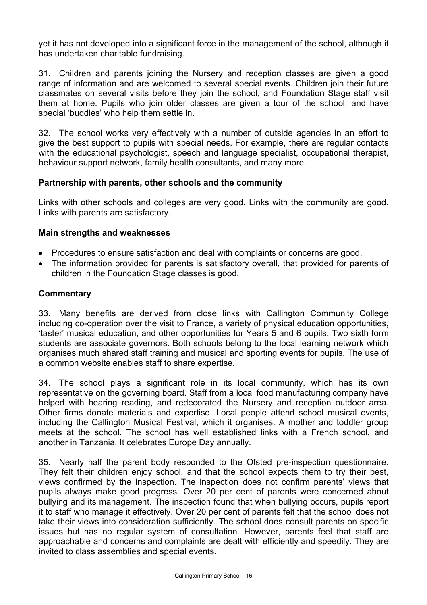yet it has not developed into a significant force in the management of the school, although it has undertaken charitable fundraising.

31. Children and parents joining the Nursery and reception classes are given a good range of information and are welcomed to several special events. Children join their future classmates on several visits before they join the school, and Foundation Stage staff visit them at home. Pupils who join older classes are given a tour of the school, and have special 'buddies' who help them settle in.

32. The school works very effectively with a number of outside agencies in an effort to give the best support to pupils with special needs. For example, there are regular contacts with the educational psychologist, speech and language specialist, occupational therapist, behaviour support network, family health consultants, and many more.

#### **Partnership with parents, other schools and the community**

Links with other schools and colleges are very good. Links with the community are good. Links with parents are satisfactory.

#### **Main strengths and weaknesses**

- Procedures to ensure satisfaction and deal with complaints or concerns are good.
- The information provided for parents is satisfactory overall, that provided for parents of children in the Foundation Stage classes is good.

#### **Commentary**

33. Many benefits are derived from close links with Callington Community College including co-operation over the visit to France, a variety of physical education opportunities, 'taster' musical education, and other opportunities for Years 5 and 6 pupils. Two sixth form students are associate governors. Both schools belong to the local learning network which organises much shared staff training and musical and sporting events for pupils. The use of a common website enables staff to share expertise.

34. The school plays a significant role in its local community, which has its own representative on the governing board. Staff from a local food manufacturing company have helped with hearing reading, and redecorated the Nursery and reception outdoor area. Other firms donate materials and expertise. Local people attend school musical events, including the Callington Musical Festival, which it organises. A mother and toddler group meets at the school. The school has well established links with a French school, and another in Tanzania. It celebrates Europe Day annually.

35. Nearly half the parent body responded to the Ofsted pre-inspection questionnaire. They felt their children enjoy school, and that the school expects them to try their best, views confirmed by the inspection. The inspection does not confirm parents' views that pupils always make good progress. Over 20 per cent of parents were concerned about bullying and its management. The inspection found that when bullying occurs, pupils report it to staff who manage it effectively. Over 20 per cent of parents felt that the school does not take their views into consideration sufficiently. The school does consult parents on specific issues but has no regular system of consultation. However, parents feel that staff are approachable and concerns and complaints are dealt with efficiently and speedily. They are invited to class assemblies and special events.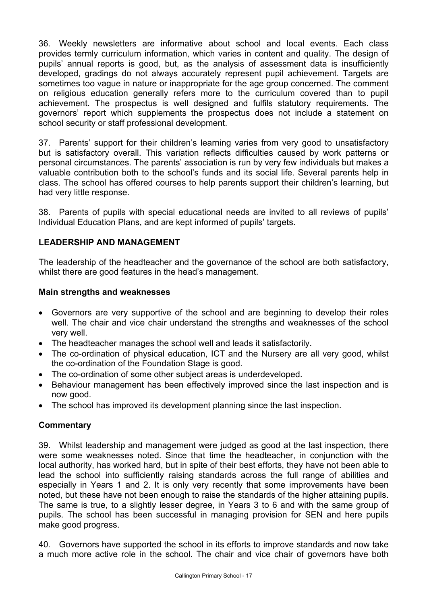36. Weekly newsletters are informative about school and local events. Each class provides termly curriculum information, which varies in content and quality. The design of pupils' annual reports is good, but, as the analysis of assessment data is insufficiently developed, gradings do not always accurately represent pupil achievement. Targets are sometimes too vague in nature or inappropriate for the age group concerned. The comment on religious education generally refers more to the curriculum covered than to pupil achievement. The prospectus is well designed and fulfils statutory requirements. The governors' report which supplements the prospectus does not include a statement on school security or staff professional development.

37. Parents' support for their children's learning varies from very good to unsatisfactory but is satisfactory overall. This variation reflects difficulties caused by work patterns or personal circumstances. The parents' association is run by very few individuals but makes a valuable contribution both to the school's funds and its social life. Several parents help in class. The school has offered courses to help parents support their children's learning, but had very little response.

38. Parents of pupils with special educational needs are invited to all reviews of pupils' Individual Education Plans, and are kept informed of pupils' targets.

# **LEADERSHIP AND MANAGEMENT**

The leadership of the headteacher and the governance of the school are both satisfactory, whilst there are good features in the head's management.

#### **Main strengths and weaknesses**

- Governors are very supportive of the school and are beginning to develop their roles well. The chair and vice chair understand the strengths and weaknesses of the school very well.
- The headteacher manages the school well and leads it satisfactorily.
- The co-ordination of physical education, ICT and the Nursery are all very good, whilst the co-ordination of the Foundation Stage is good.
- The co-ordination of some other subject areas is underdeveloped.
- Behaviour management has been effectively improved since the last inspection and is now good.
- The school has improved its development planning since the last inspection.

# **Commentary**

39. Whilst leadership and management were judged as good at the last inspection, there were some weaknesses noted. Since that time the headteacher, in conjunction with the local authority, has worked hard, but in spite of their best efforts, they have not been able to lead the school into sufficiently raising standards across the full range of abilities and especially in Years 1 and 2. It is only very recently that some improvements have been noted, but these have not been enough to raise the standards of the higher attaining pupils. The same is true, to a slightly lesser degree, in Years 3 to 6 and with the same group of pupils. The school has been successful in managing provision for SEN and here pupils make good progress.

40. Governors have supported the school in its efforts to improve standards and now take a much more active role in the school. The chair and vice chair of governors have both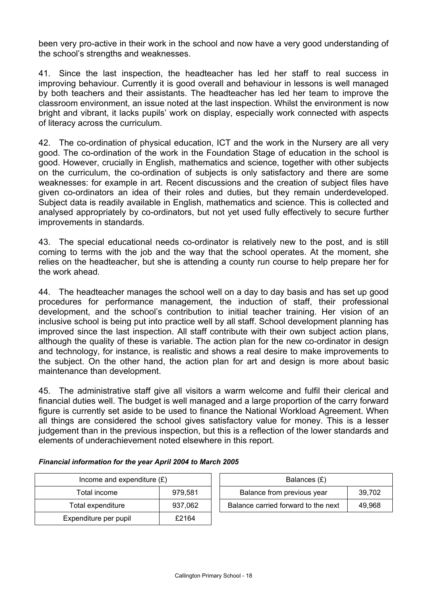been very pro-active in their work in the school and now have a very good understanding of the school's strengths and weaknesses.

41. Since the last inspection, the headteacher has led her staff to real success in improving behaviour. Currently it is good overall and behaviour in lessons is well managed by both teachers and their assistants. The headteacher has led her team to improve the classroom environment, an issue noted at the last inspection. Whilst the environment is now bright and vibrant, it lacks pupils' work on display, especially work connected with aspects of literacy across the curriculum.

42. The co-ordination of physical education, ICT and the work in the Nursery are all very good. The co-ordination of the work in the Foundation Stage of education in the school is good. However, crucially in English, mathematics and science, together with other subjects on the curriculum, the co-ordination of subjects is only satisfactory and there are some weaknesses: for example in art. Recent discussions and the creation of subject files have given co-ordinators an idea of their roles and duties, but they remain underdeveloped. Subject data is readily available in English, mathematics and science. This is collected and analysed appropriately by co-ordinators, but not yet used fully effectively to secure further improvements in standards.

43. The special educational needs co-ordinator is relatively new to the post, and is still coming to terms with the job and the way that the school operates. At the moment, she relies on the headteacher, but she is attending a county run course to help prepare her for the work ahead.

44. The headteacher manages the school well on a day to day basis and has set up good procedures for performance management, the induction of staff, their professional development, and the school's contribution to initial teacher training. Her vision of an inclusive school is being put into practice well by all staff. School development planning has improved since the last inspection. All staff contribute with their own subject action plans, although the quality of these is variable. The action plan for the new co-ordinator in design and technology, for instance, is realistic and shows a real desire to make improvements to the subject. On the other hand, the action plan for art and design is more about basic maintenance than development.

45. The administrative staff give all visitors a warm welcome and fulfil their clerical and financial duties well. The budget is well managed and a large proportion of the carry forward figure is currently set aside to be used to finance the National Workload Agreement. When all things are considered the school gives satisfactory value for money. This is a lesser judgement than in the previous inspection, but this is a reflection of the lower standards and elements of underachievement noted elsewhere in this report.

| Income and expenditure $(E)$ |         |  | Balances $(E)$                   |
|------------------------------|---------|--|----------------------------------|
| 979.581<br>Total income      |         |  | Balance from previous year       |
| Total expenditure            | 937.062 |  | Balance carried forward to the r |
| Expenditure per pupil        | £2164   |  |                                  |

| Income and expenditure $(E)$ |         | Balances (£)                        |        |  |
|------------------------------|---------|-------------------------------------|--------|--|
| Total income                 | 979.581 | Balance from previous year          | 39.702 |  |
| Total expenditure            | 937.062 | Balance carried forward to the next | 49.968 |  |

#### *Financial information for the year April 2004 to March 2005*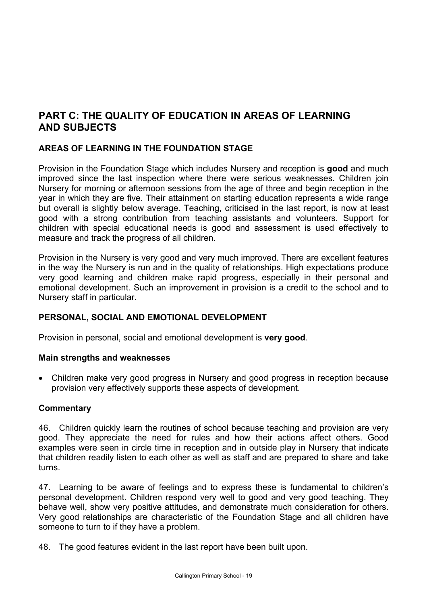# **PART C: THE QUALITY OF EDUCATION IN AREAS OF LEARNING AND SUBJECTS**

# **AREAS OF LEARNING IN THE FOUNDATION STAGE**

Provision in the Foundation Stage which includes Nursery and reception is **good** and much improved since the last inspection where there were serious weaknesses. Children join Nursery for morning or afternoon sessions from the age of three and begin reception in the year in which they are five. Their attainment on starting education represents a wide range but overall is slightly below average. Teaching, criticised in the last report, is now at least good with a strong contribution from teaching assistants and volunteers. Support for children with special educational needs is good and assessment is used effectively to measure and track the progress of all children.

Provision in the Nursery is very good and very much improved. There are excellent features in the way the Nursery is run and in the quality of relationships. High expectations produce very good learning and children make rapid progress, especially in their personal and emotional development. Such an improvement in provision is a credit to the school and to Nursery staff in particular.

#### **PERSONAL, SOCIAL AND EMOTIONAL DEVELOPMENT**

Provision in personal, social and emotional development is **very good**.

#### **Main strengths and weaknesses**

• Children make very good progress in Nursery and good progress in reception because provision very effectively supports these aspects of development.

#### **Commentary**

46. Children quickly learn the routines of school because teaching and provision are very good. They appreciate the need for rules and how their actions affect others. Good examples were seen in circle time in reception and in outside play in Nursery that indicate that children readily listen to each other as well as staff and are prepared to share and take turns.

47. Learning to be aware of feelings and to express these is fundamental to children's personal development. Children respond very well to good and very good teaching. They behave well, show very positive attitudes, and demonstrate much consideration for others. Very good relationships are characteristic of the Foundation Stage and all children have someone to turn to if they have a problem.

48. The good features evident in the last report have been built upon.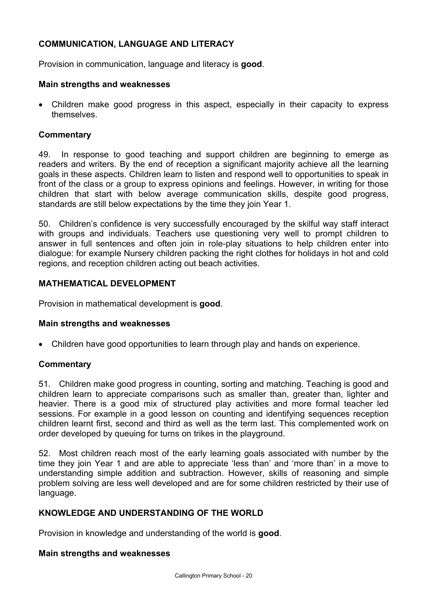# **COMMUNICATION, LANGUAGE AND LITERACY**

Provision in communication, language and literacy is **good**.

#### **Main strengths and weaknesses**

• Children make good progress in this aspect, especially in their capacity to express themselves.

#### **Commentary**

49. In response to good teaching and support children are beginning to emerge as readers and writers. By the end of reception a significant majority achieve all the learning goals in these aspects. Children learn to listen and respond well to opportunities to speak in front of the class or a group to express opinions and feelings. However, in writing for those children that start with below average communication skills, despite good progress, standards are still below expectations by the time they join Year 1.

50. Children's confidence is very successfully encouraged by the skilful way staff interact with groups and individuals. Teachers use questioning very well to prompt children to answer in full sentences and often join in role-play situations to help children enter into dialogue: for example Nursery children packing the right clothes for holidays in hot and cold regions, and reception children acting out beach activities.

# **MATHEMATICAL DEVELOPMENT**

Provision in mathematical development is **good**.

#### **Main strengths and weaknesses**

• Children have good opportunities to learn through play and hands on experience.

#### **Commentary**

51. Children make good progress in counting, sorting and matching. Teaching is good and children learn to appreciate comparisons such as smaller than, greater than, lighter and heavier. There is a good mix of structured play activities and more formal teacher led sessions. For example in a good lesson on counting and identifying sequences reception children learnt first, second and third as well as the term last. This complemented work on order developed by queuing for turns on trikes in the playground.

52. Most children reach most of the early learning goals associated with number by the time they join Year 1 and are able to appreciate 'less than' and 'more than' in a move to understanding simple addition and subtraction. However, skills of reasoning and simple problem solving are less well developed and are for some children restricted by their use of language.

# **KNOWLEDGE AND UNDERSTANDING OF THE WORLD**

Provision in knowledge and understanding of the world is **good**.

#### **Main strengths and weaknesses**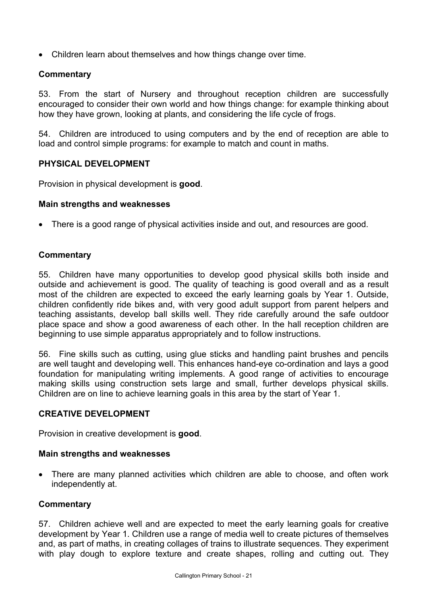• Children learn about themselves and how things change over time.

#### **Commentary**

53. From the start of Nursery and throughout reception children are successfully encouraged to consider their own world and how things change: for example thinking about how they have grown, looking at plants, and considering the life cycle of frogs.

54. Children are introduced to using computers and by the end of reception are able to load and control simple programs: for example to match and count in maths.

#### **PHYSICAL DEVELOPMENT**

Provision in physical development is **good**.

#### **Main strengths and weaknesses**

• There is a good range of physical activities inside and out, and resources are good.

#### **Commentary**

55. Children have many opportunities to develop good physical skills both inside and outside and achievement is good. The quality of teaching is good overall and as a result most of the children are expected to exceed the early learning goals by Year 1. Outside, children confidently ride bikes and, with very good adult support from parent helpers and teaching assistants, develop ball skills well. They ride carefully around the safe outdoor place space and show a good awareness of each other. In the hall reception children are beginning to use simple apparatus appropriately and to follow instructions.

56. Fine skills such as cutting, using glue sticks and handling paint brushes and pencils are well taught and developing well. This enhances hand-eye co-ordination and lays a good foundation for manipulating writing implements. A good range of activities to encourage making skills using construction sets large and small, further develops physical skills. Children are on line to achieve learning goals in this area by the start of Year 1.

#### **CREATIVE DEVELOPMENT**

Provision in creative development is **good**.

#### **Main strengths and weaknesses**

There are many planned activities which children are able to choose, and often work independently at.

#### **Commentary**

57. Children achieve well and are expected to meet the early learning goals for creative development by Year 1. Children use a range of media well to create pictures of themselves and, as part of maths, in creating collages of trains to illustrate sequences. They experiment with play dough to explore texture and create shapes, rolling and cutting out. They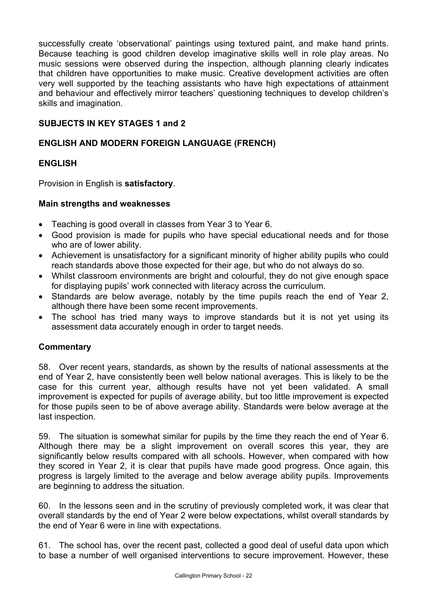successfully create 'observational' paintings using textured paint, and make hand prints. Because teaching is good children develop imaginative skills well in role play areas. No music sessions were observed during the inspection, although planning clearly indicates that children have opportunities to make music. Creative development activities are often very well supported by the teaching assistants who have high expectations of attainment and behaviour and effectively mirror teachers' questioning techniques to develop children's skills and imagination.

# **SUBJECTS IN KEY STAGES 1 and 2**

# **ENGLISH AND MODERN FOREIGN LANGUAGE (FRENCH)**

# **ENGLISH**

Provision in English is **satisfactory**.

# **Main strengths and weaknesses**

- Teaching is good overall in classes from Year 3 to Year 6.
- Good provision is made for pupils who have special educational needs and for those who are of lower ability.
- Achievement is unsatisfactory for a significant minority of higher ability pupils who could reach standards above those expected for their age, but who do not always do so.
- Whilst classroom environments are bright and colourful, they do not give enough space for displaying pupils' work connected with literacy across the curriculum.
- Standards are below average, notably by the time pupils reach the end of Year 2, although there have been some recent improvements.
- The school has tried many ways to improve standards but it is not yet using its assessment data accurately enough in order to target needs.

# **Commentary**

58. Over recent years, standards, as shown by the results of national assessments at the end of Year 2, have consistently been well below national averages. This is likely to be the case for this current year, although results have not yet been validated. A small improvement is expected for pupils of average ability, but too little improvement is expected for those pupils seen to be of above average ability. Standards were below average at the last inspection.

59. The situation is somewhat similar for pupils by the time they reach the end of Year 6. Although there may be a slight improvement on overall scores this year, they are significantly below results compared with all schools. However, when compared with how they scored in Year 2, it is clear that pupils have made good progress. Once again, this progress is largely limited to the average and below average ability pupils. Improvements are beginning to address the situation.

60. In the lessons seen and in the scrutiny of previously completed work, it was clear that overall standards by the end of Year 2 were below expectations, whilst overall standards by the end of Year 6 were in line with expectations.

61. The school has, over the recent past, collected a good deal of useful data upon which to base a number of well organised interventions to secure improvement. However, these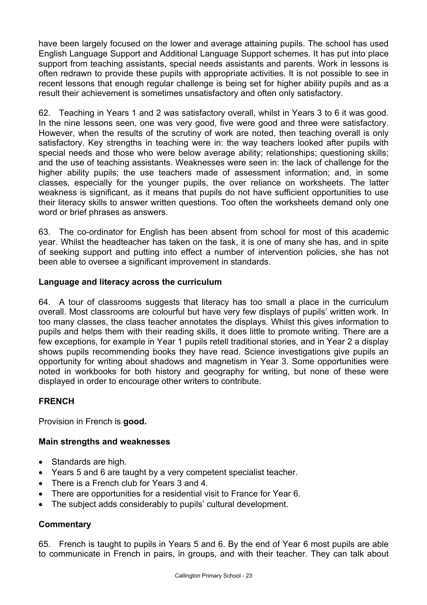have been largely focused on the lower and average attaining pupils. The school has used English Language Support and Additional Language Support schemes. It has put into place support from teaching assistants, special needs assistants and parents. Work in lessons is often redrawn to provide these pupils with appropriate activities. It is not possible to see in recent lessons that enough regular challenge is being set for higher ability pupils and as a result their achievement is sometimes unsatisfactory and often only satisfactory.

62. Teaching in Years 1 and 2 was satisfactory overall, whilst in Years 3 to 6 it was good. In the nine lessons seen, one was very good, five were good and three were satisfactory. However, when the results of the scrutiny of work are noted, then teaching overall is only satisfactory. Key strengths in teaching were in: the way teachers looked after pupils with special needs and those who were below average ability; relationships; questioning skills; and the use of teaching assistants. Weaknesses were seen in: the lack of challenge for the higher ability pupils; the use teachers made of assessment information; and, in some classes, especially for the younger pupils, the over reliance on worksheets. The latter weakness is significant, as it means that pupils do not have sufficient opportunities to use their literacy skills to answer written questions. Too often the worksheets demand only one word or brief phrases as answers.

63. The co-ordinator for English has been absent from school for most of this academic year. Whilst the headteacher has taken on the task, it is one of many she has, and in spite of seeking support and putting into effect a number of intervention policies, she has not been able to oversee a significant improvement in standards.

#### **Language and literacy across the curriculum**

64. A tour of classrooms suggests that literacy has too small a place in the curriculum overall. Most classrooms are colourful but have very few displays of pupils' written work. In too many classes, the class teacher annotates the displays. Whilst this gives information to pupils and helps them with their reading skills, it does little to promote writing. There are a few exceptions, for example in Year 1 pupils retell traditional stories, and in Year 2 a display shows pupils recommending books they have read. Science investigations give pupils an opportunity for writing about shadows and magnetism in Year 3. Some opportunities were noted in workbooks for both history and geography for writing, but none of these were displayed in order to encourage other writers to contribute.

# **FRENCH**

Provision in French is **good.**

#### **Main strengths and weaknesses**

- Standards are high.
- Years 5 and 6 are taught by a very competent specialist teacher.
- There is a French club for Years 3 and 4.
- There are opportunities for a residential visit to France for Year 6.
- The subject adds considerably to pupils' cultural development.

# **Commentary**

65. French is taught to pupils in Years 5 and 6. By the end of Year 6 most pupils are able to communicate in French in pairs, in groups, and with their teacher. They can talk about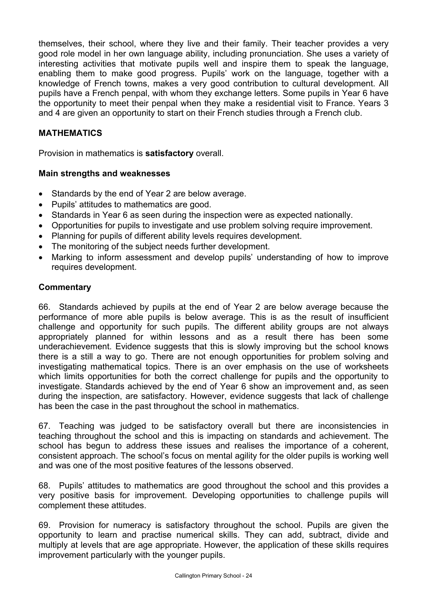themselves, their school, where they live and their family. Their teacher provides a very good role model in her own language ability, including pronunciation. She uses a variety of interesting activities that motivate pupils well and inspire them to speak the language, enabling them to make good progress. Pupils' work on the language, together with a knowledge of French towns, makes a very good contribution to cultural development. All pupils have a French penpal, with whom they exchange letters. Some pupils in Year 6 have the opportunity to meet their penpal when they make a residential visit to France. Years 3 and 4 are given an opportunity to start on their French studies through a French club.

#### **MATHEMATICS**

Provision in mathematics is **satisfactory** overall.

#### **Main strengths and weaknesses**

- Standards by the end of Year 2 are below average.
- Pupils' attitudes to mathematics are good.
- Standards in Year 6 as seen during the inspection were as expected nationally.
- Opportunities for pupils to investigate and use problem solving require improvement.
- Planning for pupils of different ability levels requires development.
- The monitoring of the subject needs further development.
- Marking to inform assessment and develop pupils' understanding of how to improve requires development.

#### **Commentary**

66. Standards achieved by pupils at the end of Year 2 are below average because the performance of more able pupils is below average. This is as the result of insufficient challenge and opportunity for such pupils. The different ability groups are not always appropriately planned for within lessons and as a result there has been some underachievement. Evidence suggests that this is slowly improving but the school knows there is a still a way to go. There are not enough opportunities for problem solving and investigating mathematical topics. There is an over emphasis on the use of worksheets which limits opportunities for both the correct challenge for pupils and the opportunity to investigate. Standards achieved by the end of Year 6 show an improvement and, as seen during the inspection, are satisfactory. However, evidence suggests that lack of challenge has been the case in the past throughout the school in mathematics.

67. Teaching was judged to be satisfactory overall but there are inconsistencies in teaching throughout the school and this is impacting on standards and achievement. The school has begun to address these issues and realises the importance of a coherent, consistent approach. The school's focus on mental agility for the older pupils is working well and was one of the most positive features of the lessons observed.

68. Pupils' attitudes to mathematics are good throughout the school and this provides a very positive basis for improvement. Developing opportunities to challenge pupils will complement these attitudes.

69. Provision for numeracy is satisfactory throughout the school. Pupils are given the opportunity to learn and practise numerical skills. They can add, subtract, divide and multiply at levels that are age appropriate. However, the application of these skills requires improvement particularly with the younger pupils.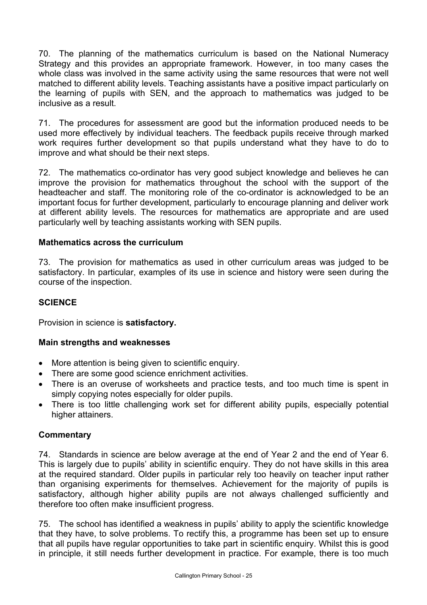70. The planning of the mathematics curriculum is based on the National Numeracy Strategy and this provides an appropriate framework. However, in too many cases the whole class was involved in the same activity using the same resources that were not well matched to different ability levels. Teaching assistants have a positive impact particularly on the learning of pupils with SEN, and the approach to mathematics was judged to be inclusive as a result.

71. The procedures for assessment are good but the information produced needs to be used more effectively by individual teachers. The feedback pupils receive through marked work requires further development so that pupils understand what they have to do to improve and what should be their next steps.

72. The mathematics co-ordinator has very good subject knowledge and believes he can improve the provision for mathematics throughout the school with the support of the headteacher and staff. The monitoring role of the co-ordinator is acknowledged to be an important focus for further development, particularly to encourage planning and deliver work at different ability levels. The resources for mathematics are appropriate and are used particularly well by teaching assistants working with SEN pupils.

#### **Mathematics across the curriculum**

73. The provision for mathematics as used in other curriculum areas was judged to be satisfactory. In particular, examples of its use in science and history were seen during the course of the inspection.

#### **SCIENCE**

Provision in science is **satisfactory.**

#### **Main strengths and weaknesses**

- More attention is being given to scientific enquiry.
- There are some good science enrichment activities.
- There is an overuse of worksheets and practice tests, and too much time is spent in simply copying notes especially for older pupils.
- There is too little challenging work set for different ability pupils, especially potential higher attainers.

#### **Commentary**

74. Standards in science are below average at the end of Year 2 and the end of Year 6. This is largely due to pupils' ability in scientific enquiry. They do not have skills in this area at the required standard. Older pupils in particular rely too heavily on teacher input rather than organising experiments for themselves. Achievement for the majority of pupils is satisfactory, although higher ability pupils are not always challenged sufficiently and therefore too often make insufficient progress.

75. The school has identified a weakness in pupils' ability to apply the scientific knowledge that they have, to solve problems. To rectify this, a programme has been set up to ensure that all pupils have regular opportunities to take part in scientific enquiry. Whilst this is good in principle, it still needs further development in practice. For example, there is too much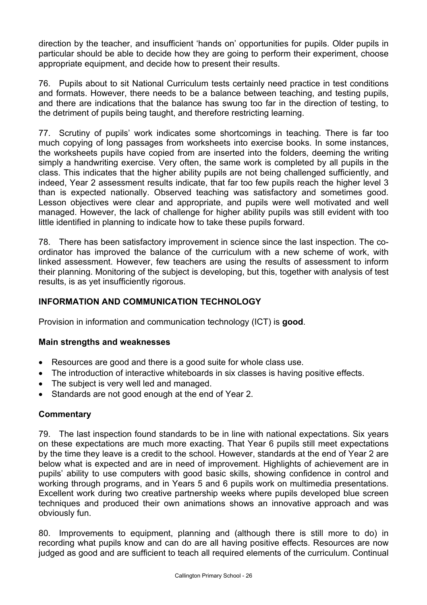direction by the teacher, and insufficient 'hands on' opportunities for pupils. Older pupils in particular should be able to decide how they are going to perform their experiment, choose appropriate equipment, and decide how to present their results.

76. Pupils about to sit National Curriculum tests certainly need practice in test conditions and formats. However, there needs to be a balance between teaching, and testing pupils, and there are indications that the balance has swung too far in the direction of testing, to the detriment of pupils being taught, and therefore restricting learning.

77. Scrutiny of pupils' work indicates some shortcomings in teaching. There is far too much copying of long passages from worksheets into exercise books. In some instances, the worksheets pupils have copied from are inserted into the folders, deeming the writing simply a handwriting exercise. Very often, the same work is completed by all pupils in the class. This indicates that the higher ability pupils are not being challenged sufficiently, and indeed, Year 2 assessment results indicate, that far too few pupils reach the higher level 3 than is expected nationally. Observed teaching was satisfactory and sometimes good. Lesson objectives were clear and appropriate, and pupils were well motivated and well managed. However, the lack of challenge for higher ability pupils was still evident with too little identified in planning to indicate how to take these pupils forward.

78. There has been satisfactory improvement in science since the last inspection. The coordinator has improved the balance of the curriculum with a new scheme of work, with linked assessment. However, few teachers are using the results of assessment to inform their planning. Monitoring of the subject is developing, but this, together with analysis of test results, is as yet insufficiently rigorous.

# **INFORMATION AND COMMUNICATION TECHNOLOGY**

Provision in information and communication technology (ICT) is **good**.

# **Main strengths and weaknesses**

- Resources are good and there is a good suite for whole class use.
- The introduction of interactive whiteboards in six classes is having positive effects.
- The subject is very well led and managed.
- Standards are not good enough at the end of Year 2.

#### **Commentary**

79. The last inspection found standards to be in line with national expectations. Six years on these expectations are much more exacting. That Year 6 pupils still meet expectations by the time they leave is a credit to the school. However, standards at the end of Year 2 are below what is expected and are in need of improvement. Highlights of achievement are in pupils' ability to use computers with good basic skills, showing confidence in control and working through programs, and in Years 5 and 6 pupils work on multimedia presentations. Excellent work during two creative partnership weeks where pupils developed blue screen techniques and produced their own animations shows an innovative approach and was obviously fun.

80. Improvements to equipment, planning and (although there is still more to do) in recording what pupils know and can do are all having positive effects. Resources are now judged as good and are sufficient to teach all required elements of the curriculum. Continual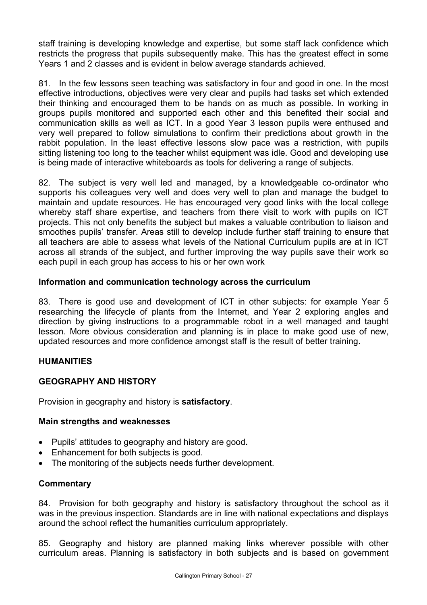staff training is developing knowledge and expertise, but some staff lack confidence which restricts the progress that pupils subsequently make. This has the greatest effect in some Years 1 and 2 classes and is evident in below average standards achieved.

81. In the few lessons seen teaching was satisfactory in four and good in one. In the most effective introductions, objectives were very clear and pupils had tasks set which extended their thinking and encouraged them to be hands on as much as possible. In working in groups pupils monitored and supported each other and this benefited their social and communication skills as well as ICT. In a good Year 3 lesson pupils were enthused and very well prepared to follow simulations to confirm their predictions about growth in the rabbit population. In the least effective lessons slow pace was a restriction, with pupils sitting listening too long to the teacher whilst equipment was idle. Good and developing use is being made of interactive whiteboards as tools for delivering a range of subjects.

82. The subject is very well led and managed, by a knowledgeable co-ordinator who supports his colleagues very well and does very well to plan and manage the budget to maintain and update resources. He has encouraged very good links with the local college whereby staff share expertise, and teachers from there visit to work with pupils on ICT projects. This not only benefits the subject but makes a valuable contribution to liaison and smoothes pupils' transfer. Areas still to develop include further staff training to ensure that all teachers are able to assess what levels of the National Curriculum pupils are at in ICT across all strands of the subject, and further improving the way pupils save their work so each pupil in each group has access to his or her own work

#### **Information and communication technology across the curriculum**

83. There is good use and development of ICT in other subjects: for example Year 5 researching the lifecycle of plants from the Internet, and Year 2 exploring angles and direction by giving instructions to a programmable robot in a well managed and taught lesson. More obvious consideration and planning is in place to make good use of new, updated resources and more confidence amongst staff is the result of better training.

# **HUMANITIES**

# **GEOGRAPHY AND HISTORY**

Provision in geography and history is **satisfactory**.

#### **Main strengths and weaknesses**

- Pupils' attitudes to geography and history are good**.**
- Enhancement for both subjects is good.
- The monitoring of the subjects needs further development.

#### **Commentary**

84. Provision for both geography and history is satisfactory throughout the school as it was in the previous inspection. Standards are in line with national expectations and displays around the school reflect the humanities curriculum appropriately.

85. Geography and history are planned making links wherever possible with other curriculum areas. Planning is satisfactory in both subjects and is based on government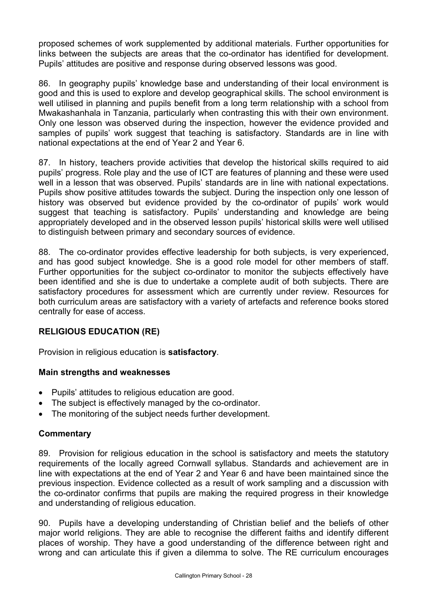proposed schemes of work supplemented by additional materials. Further opportunities for links between the subjects are areas that the co-ordinator has identified for development. Pupils' attitudes are positive and response during observed lessons was good.

86. In geography pupils' knowledge base and understanding of their local environment is good and this is used to explore and develop geographical skills. The school environment is well utilised in planning and pupils benefit from a long term relationship with a school from Mwakashanhala in Tanzania, particularly when contrasting this with their own environment. Only one lesson was observed during the inspection, however the evidence provided and samples of pupils' work suggest that teaching is satisfactory. Standards are in line with national expectations at the end of Year 2 and Year 6.

87. In history, teachers provide activities that develop the historical skills required to aid pupils' progress. Role play and the use of ICT are features of planning and these were used well in a lesson that was observed. Pupils' standards are in line with national expectations. Pupils show positive attitudes towards the subject. During the inspection only one lesson of history was observed but evidence provided by the co-ordinator of pupils' work would suggest that teaching is satisfactory. Pupils' understanding and knowledge are being appropriately developed and in the observed lesson pupils' historical skills were well utilised to distinguish between primary and secondary sources of evidence.

88. The co-ordinator provides effective leadership for both subjects, is very experienced, and has good subject knowledge. She is a good role model for other members of staff. Further opportunities for the subject co-ordinator to monitor the subjects effectively have been identified and she is due to undertake a complete audit of both subjects. There are satisfactory procedures for assessment which are currently under review. Resources for both curriculum areas are satisfactory with a variety of artefacts and reference books stored centrally for ease of access.

# **RELIGIOUS EDUCATION (RE)**

Provision in religious education is **satisfactory**.

# **Main strengths and weaknesses**

- Pupils' attitudes to religious education are good.
- The subject is effectively managed by the co-ordinator.
- The monitoring of the subject needs further development.

# **Commentary**

89. Provision for religious education in the school is satisfactory and meets the statutory requirements of the locally agreed Cornwall syllabus. Standards and achievement are in line with expectations at the end of Year 2 and Year 6 and have been maintained since the previous inspection. Evidence collected as a result of work sampling and a discussion with the co-ordinator confirms that pupils are making the required progress in their knowledge and understanding of religious education.

90. Pupils have a developing understanding of Christian belief and the beliefs of other major world religions. They are able to recognise the different faiths and identify different places of worship. They have a good understanding of the difference between right and wrong and can articulate this if given a dilemma to solve. The RE curriculum encourages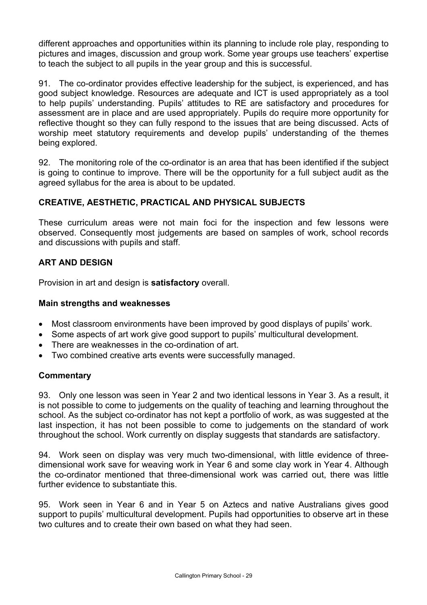different approaches and opportunities within its planning to include role play, responding to pictures and images, discussion and group work. Some year groups use teachers' expertise to teach the subject to all pupils in the year group and this is successful.

91. The co-ordinator provides effective leadership for the subject, is experienced, and has good subject knowledge. Resources are adequate and ICT is used appropriately as a tool to help pupils' understanding. Pupils' attitudes to RE are satisfactory and procedures for assessment are in place and are used appropriately. Pupils do require more opportunity for reflective thought so they can fully respond to the issues that are being discussed. Acts of worship meet statutory requirements and develop pupils' understanding of the themes being explored.

92. The monitoring role of the co-ordinator is an area that has been identified if the subject is going to continue to improve. There will be the opportunity for a full subject audit as the agreed syllabus for the area is about to be updated.

# **CREATIVE, AESTHETIC, PRACTICAL AND PHYSICAL SUBJECTS**

These curriculum areas were not main foci for the inspection and few lessons were observed. Consequently most judgements are based on samples of work, school records and discussions with pupils and staff.

# **ART AND DESIGN**

Provision in art and design is **satisfactory** overall.

#### **Main strengths and weaknesses**

- Most classroom environments have been improved by good displays of pupils' work.
- Some aspects of art work give good support to pupils' multicultural development.
- There are weaknesses in the co-ordination of art.
- Two combined creative arts events were successfully managed.

# **Commentary**

93. Only one lesson was seen in Year 2 and two identical lessons in Year 3. As a result, it is not possible to come to judgements on the quality of teaching and learning throughout the school. As the subject co-ordinator has not kept a portfolio of work, as was suggested at the last inspection, it has not been possible to come to judgements on the standard of work throughout the school. Work currently on display suggests that standards are satisfactory.

94. Work seen on display was very much two-dimensional, with little evidence of threedimensional work save for weaving work in Year 6 and some clay work in Year 4. Although the co-ordinator mentioned that three-dimensional work was carried out, there was little further evidence to substantiate this.

95. Work seen in Year 6 and in Year 5 on Aztecs and native Australians gives good support to pupils' multicultural development. Pupils had opportunities to observe art in these two cultures and to create their own based on what they had seen.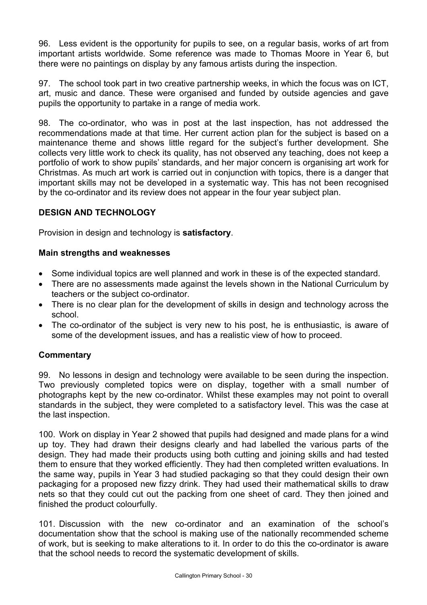96. Less evident is the opportunity for pupils to see, on a regular basis, works of art from important artists worldwide. Some reference was made to Thomas Moore in Year 6, but there were no paintings on display by any famous artists during the inspection.

97. The school took part in two creative partnership weeks, in which the focus was on ICT, art, music and dance. These were organised and funded by outside agencies and gave pupils the opportunity to partake in a range of media work.

98. The co-ordinator, who was in post at the last inspection, has not addressed the recommendations made at that time. Her current action plan for the subject is based on a maintenance theme and shows little regard for the subject's further development. She collects very little work to check its quality, has not observed any teaching, does not keep a portfolio of work to show pupils' standards, and her major concern is organising art work for Christmas. As much art work is carried out in conjunction with topics, there is a danger that important skills may not be developed in a systematic way. This has not been recognised by the co-ordinator and its review does not appear in the four year subject plan.

# **DESIGN AND TECHNOLOGY**

Provision in design and technology is **satisfactory**.

#### **Main strengths and weaknesses**

- Some individual topics are well planned and work in these is of the expected standard.
- There are no assessments made against the levels shown in the National Curriculum by teachers or the subject co-ordinator.
- There is no clear plan for the development of skills in design and technology across the school.
- The co-ordinator of the subject is very new to his post, he is enthusiastic, is aware of some of the development issues, and has a realistic view of how to proceed.

# **Commentary**

99. No lessons in design and technology were available to be seen during the inspection. Two previously completed topics were on display, together with a small number of photographs kept by the new co-ordinator. Whilst these examples may not point to overall standards in the subject, they were completed to a satisfactory level. This was the case at the last inspection.

100. Work on display in Year 2 showed that pupils had designed and made plans for a wind up toy. They had drawn their designs clearly and had labelled the various parts of the design. They had made their products using both cutting and joining skills and had tested them to ensure that they worked efficiently. They had then completed written evaluations. In the same way, pupils in Year 3 had studied packaging so that they could design their own packaging for a proposed new fizzy drink. They had used their mathematical skills to draw nets so that they could cut out the packing from one sheet of card. They then joined and finished the product colourfully.

101. Discussion with the new co-ordinator and an examination of the school's documentation show that the school is making use of the nationally recommended scheme of work, but is seeking to make alterations to it. In order to do this the co-ordinator is aware that the school needs to record the systematic development of skills.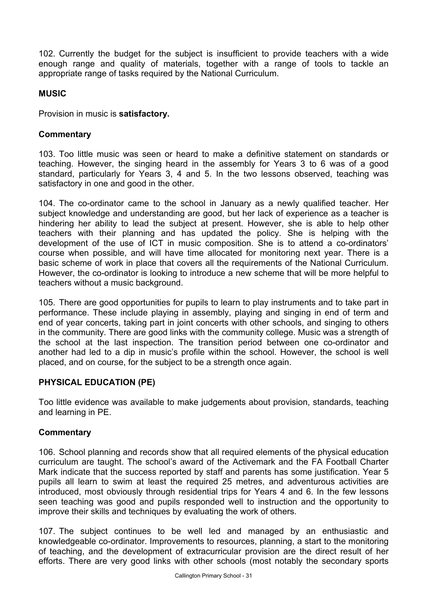102. Currently the budget for the subject is insufficient to provide teachers with a wide enough range and quality of materials, together with a range of tools to tackle an appropriate range of tasks required by the National Curriculum.

#### **MUSIC**

Provision in music is **satisfactory.** 

#### **Commentary**

103. Too little music was seen or heard to make a definitive statement on standards or teaching. However, the singing heard in the assembly for Years 3 to 6 was of a good standard, particularly for Years 3, 4 and 5. In the two lessons observed, teaching was satisfactory in one and good in the other.

104. The co-ordinator came to the school in January as a newly qualified teacher. Her subject knowledge and understanding are good, but her lack of experience as a teacher is hindering her ability to lead the subject at present. However, she is able to help other teachers with their planning and has updated the policy. She is helping with the development of the use of ICT in music composition. She is to attend a co-ordinators' course when possible, and will have time allocated for monitoring next year. There is a basic scheme of work in place that covers all the requirements of the National Curriculum. However, the co-ordinator is looking to introduce a new scheme that will be more helpful to teachers without a music background.

105. There are good opportunities for pupils to learn to play instruments and to take part in performance. These include playing in assembly, playing and singing in end of term and end of year concerts, taking part in joint concerts with other schools, and singing to others in the community. There are good links with the community college. Music was a strength of the school at the last inspection. The transition period between one co-ordinator and another had led to a dip in music's profile within the school. However, the school is well placed, and on course, for the subject to be a strength once again.

#### **PHYSICAL EDUCATION (PE)**

Too little evidence was available to make judgements about provision, standards, teaching and learning in PE.

#### **Commentary**

106. School planning and records show that all required elements of the physical education curriculum are taught. The school's award of the Activemark and the FA Football Charter Mark indicate that the success reported by staff and parents has some justification. Year 5 pupils all learn to swim at least the required 25 metres, and adventurous activities are introduced, most obviously through residential trips for Years 4 and 6. In the few lessons seen teaching was good and pupils responded well to instruction and the opportunity to improve their skills and techniques by evaluating the work of others.

107. The subject continues to be well led and managed by an enthusiastic and knowledgeable co-ordinator. Improvements to resources, planning, a start to the monitoring of teaching, and the development of extracurricular provision are the direct result of her efforts. There are very good links with other schools (most notably the secondary sports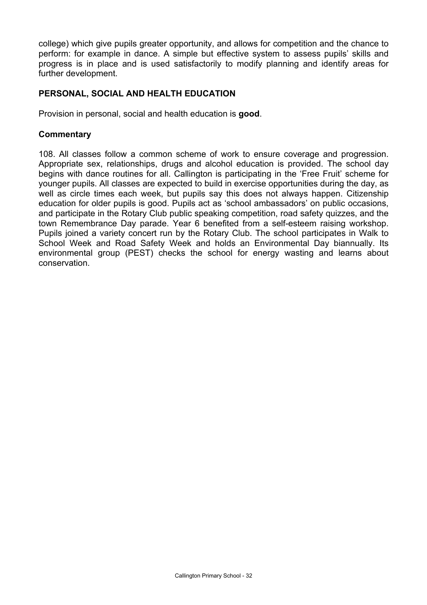college) which give pupils greater opportunity, and allows for competition and the chance to perform: for example in dance. A simple but effective system to assess pupils' skills and progress is in place and is used satisfactorily to modify planning and identify areas for further development.

#### **PERSONAL, SOCIAL AND HEALTH EDUCATION**

Provision in personal, social and health education is **good**.

#### **Commentary**

108. All classes follow a common scheme of work to ensure coverage and progression. Appropriate sex, relationships, drugs and alcohol education is provided. The school day begins with dance routines for all. Callington is participating in the 'Free Fruit' scheme for younger pupils. All classes are expected to build in exercise opportunities during the day, as well as circle times each week, but pupils say this does not always happen. Citizenship education for older pupils is good. Pupils act as 'school ambassadors' on public occasions, and participate in the Rotary Club public speaking competition, road safety quizzes, and the town Remembrance Day parade. Year 6 benefited from a self-esteem raising workshop. Pupils joined a variety concert run by the Rotary Club. The school participates in Walk to School Week and Road Safety Week and holds an Environmental Day biannually. Its environmental group (PEST) checks the school for energy wasting and learns about conservation.